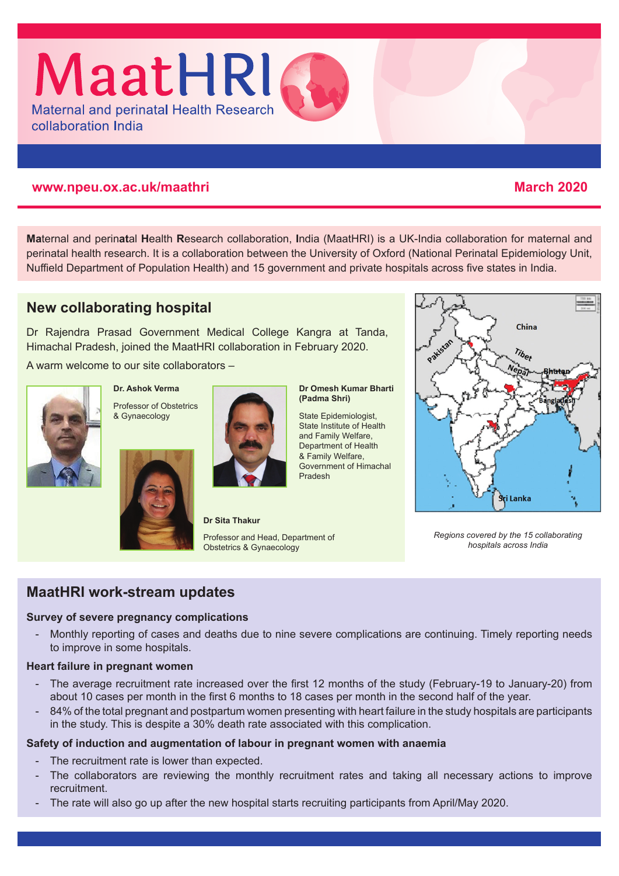

### **www.npeu.ox.ac.uk/maathri March 2020**

**Ma**ternal and perin**at**al **H**ealth **R**esearch collaboration, **I**ndia (MaatHRI) is a UK-India collaboration for maternal and perinatal health research. It is a collaboration between the University of Oxford (National Perinatal Epidemiology Unit, Nuffield Department of Population Health) and 15 government and private hospitals across five states in India.

# **New collaborating hospital**

Dr Rajendra Prasad Government Medical College Kangra at Tanda, Himachal Pradesh, joined the MaatHRI collaboration in February 2020.

A warm welcome to our site collaborators –



**Dr. Ashok Verma** Professor of Obstetrics & Gynaecology





State Epidemiologist, State Institute of Health and Family Welfare, Department of Health & Family Welfare, Government of Himachal Pradesh



*Regions covered by the 15 collaborating hospitals across India*

## **MaatHRI work-stream updates**

#### **Survey of severe pregnancy complications**

- Monthly reporting of cases and deaths due to nine severe complications are continuing. Timely reporting needs to improve in some hospitals.

#### **Heart failure in pregnant women**

- The average recruitment rate increased over the first 12 months of the study (February-19 to January-20) from about 10 cases per month in the first 6 months to 18 cases per month in the second half of the year.
- 84% of the total pregnant and postpartum women presenting with heart failure in the study hospitals are participants in the study. This is despite a 30% death rate associated with this complication.

#### **Safety of induction and augmentation of labour in pregnant women with anaemia**

- The recruitment rate is lower than expected.
- The collaborators are reviewing the monthly recruitment rates and taking all necessary actions to improve recruitment.
- The rate will also go up after the new hospital starts recruiting participants from April/May 2020.